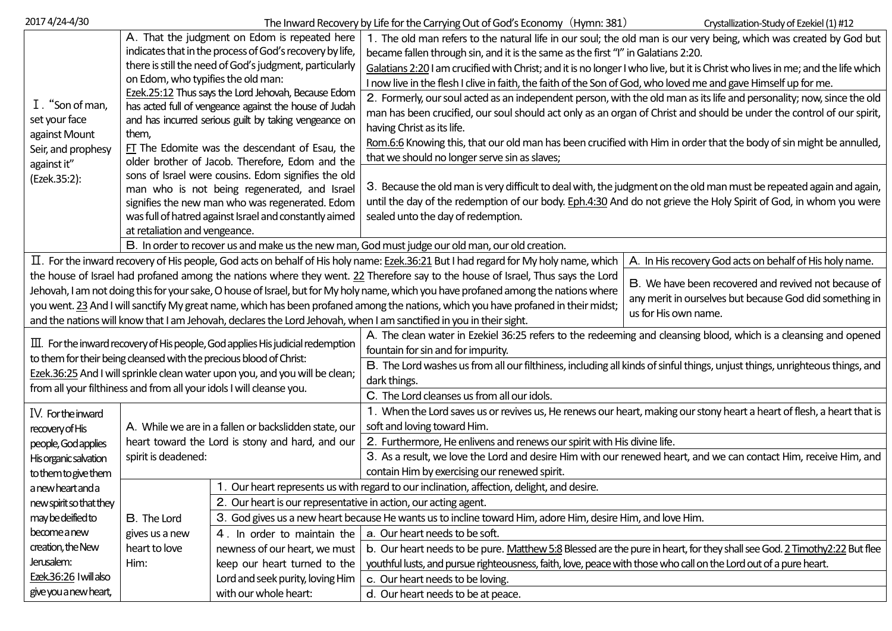| 2017 4/24-4/30                                                                                                                                                                                 | The Inward Recovery by Life for the Carrying Out of God's Economy (Hymn: 381)<br>Crystallization-Study of Ezekiel (1) #12 |                                                                                                             |                                                                                                                                      |                                                         |  |  |  |  |  |
|------------------------------------------------------------------------------------------------------------------------------------------------------------------------------------------------|---------------------------------------------------------------------------------------------------------------------------|-------------------------------------------------------------------------------------------------------------|--------------------------------------------------------------------------------------------------------------------------------------|---------------------------------------------------------|--|--|--|--|--|
|                                                                                                                                                                                                |                                                                                                                           | A. That the judgment on Edom is repeated here                                                               | 1. The old man refers to the natural life in our soul; the old man is our very being, which was created by God but                   |                                                         |  |  |  |  |  |
|                                                                                                                                                                                                |                                                                                                                           | indicates that in the process of God's recovery by life,                                                    | became fallen through sin, and it is the same as the first "I" in Galatians 2:20.                                                    |                                                         |  |  |  |  |  |
|                                                                                                                                                                                                | there is still the need of God's judgment, particularly                                                                   |                                                                                                             | Galatians 2:20 I am crucified with Christ; and it is no longer I who live, but it is Christ who lives in me; and the life which      |                                                         |  |  |  |  |  |
|                                                                                                                                                                                                | on Edom, who typifies the old man:                                                                                        |                                                                                                             | I now live in the flesh I clive in faith, the faith of the Son of God, who loved me and gave Himself up for me.                      |                                                         |  |  |  |  |  |
|                                                                                                                                                                                                |                                                                                                                           | Ezek.25:12 Thus says the Lord Jehovah, Because Edom                                                         | 2. Formerly, our soul acted as an independent person, with the old man as its life and personality; now, since the old               |                                                         |  |  |  |  |  |
| I. "Son of man,                                                                                                                                                                                |                                                                                                                           | has acted full of vengeance against the house of Judah                                                      | man has been crucified, our soul should act only as an organ of Christ and should be under the control of our spirit,                |                                                         |  |  |  |  |  |
| set your face                                                                                                                                                                                  |                                                                                                                           | and has incurred serious guilt by taking vengeance on                                                       | having Christ as its life.                                                                                                           |                                                         |  |  |  |  |  |
| against Mount                                                                                                                                                                                  | them,                                                                                                                     |                                                                                                             | Rom.6:6 Knowing this, that our old man has been crucified with Him in order that the body of sin might be annulled,                  |                                                         |  |  |  |  |  |
| Seir, and prophesy                                                                                                                                                                             |                                                                                                                           | FT The Edomite was the descendant of Esau, the<br>older brother of Jacob. Therefore, Edom and the           | that we should no longer serve sin as slaves;                                                                                        |                                                         |  |  |  |  |  |
| against it"                                                                                                                                                                                    |                                                                                                                           |                                                                                                             |                                                                                                                                      |                                                         |  |  |  |  |  |
| (Ezek.35:2):                                                                                                                                                                                   | sons of Israel were cousins. Edom signifies the old<br>man who is not being regenerated, and Israel                       |                                                                                                             | 3. Because the old man is very difficult to deal with, the judgment on the old man must be repeated again and again,                 |                                                         |  |  |  |  |  |
|                                                                                                                                                                                                |                                                                                                                           | signifies the new man who was regenerated. Edom                                                             | until the day of the redemption of our body. Eph.4:30 And do not grieve the Holy Spirit of God, in whom you were                     |                                                         |  |  |  |  |  |
|                                                                                                                                                                                                | was full of hatred against Israel and constantly aimed                                                                    |                                                                                                             | sealed unto the day of redemption.                                                                                                   |                                                         |  |  |  |  |  |
|                                                                                                                                                                                                | at retaliation and vengeance.                                                                                             |                                                                                                             |                                                                                                                                      |                                                         |  |  |  |  |  |
| B. In order to recover us and make us the new man, God must judge our old man, our old creation.                                                                                               |                                                                                                                           |                                                                                                             |                                                                                                                                      |                                                         |  |  |  |  |  |
| II. For the inward recovery of His people, God acts on behalf of His holy name: Ezek.36:21 But I had regard for My holy name, which<br>A. In His recovery God acts on behalf of His holy name. |                                                                                                                           |                                                                                                             |                                                                                                                                      |                                                         |  |  |  |  |  |
| the house of Israel had profaned among the nations where they went. 22 Therefore say to the house of Israel, Thus says the Lord                                                                |                                                                                                                           |                                                                                                             |                                                                                                                                      |                                                         |  |  |  |  |  |
|                                                                                                                                                                                                |                                                                                                                           |                                                                                                             | Jehovah, I am not doing this for your sake, O house of Israel, but for My holy name, which you have profaned among the nations where | B. We have been recovered and revived not because of    |  |  |  |  |  |
|                                                                                                                                                                                                |                                                                                                                           |                                                                                                             | you went. 23 And I will sanctify My great name, which has been profaned among the nations, which you have profaned in their midst;   | any merit in ourselves but because God did something in |  |  |  |  |  |
| us for His own name.<br>and the nations will know that I am Jehovah, declares the Lord Jehovah, when I am sanctified in you in their sight.                                                    |                                                                                                                           |                                                                                                             |                                                                                                                                      |                                                         |  |  |  |  |  |
|                                                                                                                                                                                                |                                                                                                                           |                                                                                                             | A. The clean water in Ezekiel 36:25 refers to the redeeming and cleansing blood, which is a cleansing and opened                     |                                                         |  |  |  |  |  |
|                                                                                                                                                                                                |                                                                                                                           | $\rm \overline{III}$ . For the inward recovery of His people, God applies His judicial redemption           | fountain for sin and for impurity.                                                                                                   |                                                         |  |  |  |  |  |
|                                                                                                                                                                                                |                                                                                                                           | to them for their being cleansed with the precious blood of Christ:                                         | B. The Lord washes us from all our filthiness, including all kinds of sinful things, unjust things, unrighteous things, and          |                                                         |  |  |  |  |  |
| Ezek.36:25 And I will sprinkle clean water upon you, and you will be clean;                                                                                                                    |                                                                                                                           |                                                                                                             | dark things.                                                                                                                         |                                                         |  |  |  |  |  |
| from all your filthiness and from all your idols I will cleanse you.                                                                                                                           |                                                                                                                           |                                                                                                             | C. The Lord cleanses us from all our idols.                                                                                          |                                                         |  |  |  |  |  |
| IV. For the inward                                                                                                                                                                             |                                                                                                                           |                                                                                                             | 1. When the Lord saves us or revives us, He renews our heart, making our stony heart a heart of flesh, a heart that is               |                                                         |  |  |  |  |  |
| recovery of His                                                                                                                                                                                | A. While we are in a fallen or backslidden state, our                                                                     |                                                                                                             | soft and loving toward Him.                                                                                                          |                                                         |  |  |  |  |  |
| people, God applies                                                                                                                                                                            | heart toward the Lord is stony and hard, and our                                                                          |                                                                                                             | 2. Furthermore, He enlivens and renews our spirit with His divine life.                                                              |                                                         |  |  |  |  |  |
| His organic salvation                                                                                                                                                                          | spirit is deadened:                                                                                                       |                                                                                                             | 3. As a result, we love the Lord and desire Him with our renewed heart, and we can contact Him, receive Him, and                     |                                                         |  |  |  |  |  |
| to them to give them                                                                                                                                                                           |                                                                                                                           |                                                                                                             | contain Him by exercising our renewed spirit.                                                                                        |                                                         |  |  |  |  |  |
| a new heart and a                                                                                                                                                                              |                                                                                                                           |                                                                                                             | . Our heart represents us with regard to our inclination, affection, delight, and desire.                                            |                                                         |  |  |  |  |  |
| new spirit so that they                                                                                                                                                                        |                                                                                                                           | 2. Our heart is our representative in action, our acting agent.                                             |                                                                                                                                      |                                                         |  |  |  |  |  |
| may be deified to                                                                                                                                                                              | <b>B.</b> The Lord                                                                                                        | 3. God gives us a new heart because He wants us to incline toward Him, adore Him, desire Him, and love Him. |                                                                                                                                      |                                                         |  |  |  |  |  |
| become a new                                                                                                                                                                                   | gives us a new                                                                                                            | a. Our heart needs to be soft.<br>4. In order to maintain the                                               |                                                                                                                                      |                                                         |  |  |  |  |  |
| creation, the New                                                                                                                                                                              | heart to love                                                                                                             | newness of our heart, we must                                                                               | b. Our heart needs to be pure. Matthew 5:8 Blessed are the pure in heart, for they shall see God. 2 Timothy 2:22 But flee            |                                                         |  |  |  |  |  |
| Jerusalem:                                                                                                                                                                                     | Him:                                                                                                                      | keep our heart turned to the                                                                                | youthful lusts, and pursue righteousness, faith, love, peace with those who call on the Lord out of a pure heart.                    |                                                         |  |  |  |  |  |
| Ezek.36:26 I will also                                                                                                                                                                         | Lord and seek purity, loving Him                                                                                          |                                                                                                             | c. Our heart needs to be loving.                                                                                                     |                                                         |  |  |  |  |  |
| give you a new heart,                                                                                                                                                                          |                                                                                                                           | with our whole heart:                                                                                       | d. Our heart needs to be at peace.                                                                                                   |                                                         |  |  |  |  |  |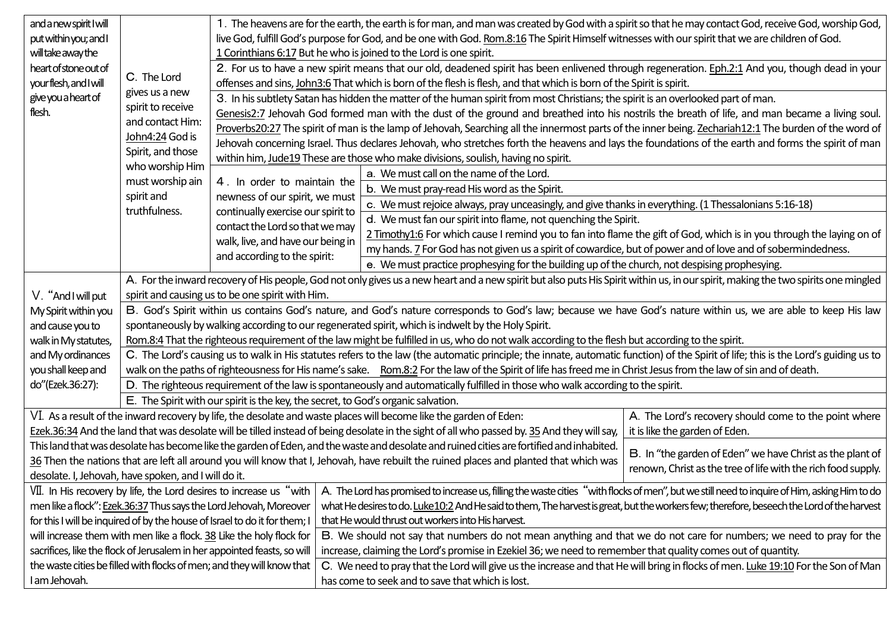| and a new spirit I will<br>put within you; and I                                                                                                                                                       |                                                                                                                                                                                      | 1. The heavens are for the earth, the earth is for man, and man was created by God with a spirit so that he may contact God, receive God, worship God,<br>live God, fulfill God's purpose for God, and be one with God. Rom.8:16 The Spirit Himself witnesses with our spirit that we are children of God. |                                                                                                                                                                                                                                     |                                                                                                                                             |                                                       |  |  |  |
|--------------------------------------------------------------------------------------------------------------------------------------------------------------------------------------------------------|--------------------------------------------------------------------------------------------------------------------------------------------------------------------------------------|------------------------------------------------------------------------------------------------------------------------------------------------------------------------------------------------------------------------------------------------------------------------------------------------------------|-------------------------------------------------------------------------------------------------------------------------------------------------------------------------------------------------------------------------------------|---------------------------------------------------------------------------------------------------------------------------------------------|-------------------------------------------------------|--|--|--|
| will take away the                                                                                                                                                                                     |                                                                                                                                                                                      | 1 Corinthians 6:17 But he who is joined to the Lord is one spirit.                                                                                                                                                                                                                                         |                                                                                                                                                                                                                                     |                                                                                                                                             |                                                       |  |  |  |
| heart of stone out of<br>your flesh, and I will<br>give you a heart of<br>flesh.                                                                                                                       |                                                                                                                                                                                      | 2. For us to have a new spirit means that our old, deadened spirit has been enlivened through regeneration. Eph.2:1 And you, though dead in your                                                                                                                                                           |                                                                                                                                                                                                                                     |                                                                                                                                             |                                                       |  |  |  |
|                                                                                                                                                                                                        | C. The Lord                                                                                                                                                                          | offenses and sins, John3:6 That which is born of the flesh is flesh, and that which is born of the Spirit is spirit.                                                                                                                                                                                       |                                                                                                                                                                                                                                     |                                                                                                                                             |                                                       |  |  |  |
|                                                                                                                                                                                                        | gives us a new                                                                                                                                                                       |                                                                                                                                                                                                                                                                                                            | 3. In his subtlety Satan has hidden the matter of the human spirit from most Christians; the spirit is an overlooked part of man.                                                                                                   |                                                                                                                                             |                                                       |  |  |  |
|                                                                                                                                                                                                        | spirit to receive<br>and contact Him:<br>John4:24 God is<br>Spirit, and those<br>who worship Him<br>must worship ain<br>spirit and<br>truthfulness.                                  | Genesis2:7 Jehovah God formed man with the dust of the ground and breathed into his nostrils the breath of life, and man became a living soul.                                                                                                                                                             |                                                                                                                                                                                                                                     |                                                                                                                                             |                                                       |  |  |  |
|                                                                                                                                                                                                        |                                                                                                                                                                                      | Proverbs20:27 The spirit of man is the lamp of Jehovah, Searching all the innermost parts of the inner being. Zechariah12:1 The burden of the word of                                                                                                                                                      |                                                                                                                                                                                                                                     |                                                                                                                                             |                                                       |  |  |  |
|                                                                                                                                                                                                        |                                                                                                                                                                                      | Jehovah concerning Israel. Thus declares Jehovah, who stretches forth the heavens and lays the foundations of the earth and forms the spirit of man                                                                                                                                                        |                                                                                                                                                                                                                                     |                                                                                                                                             |                                                       |  |  |  |
|                                                                                                                                                                                                        |                                                                                                                                                                                      | within him, Jude19 These are those who make divisions, soulish, having no spirit.                                                                                                                                                                                                                          |                                                                                                                                                                                                                                     |                                                                                                                                             |                                                       |  |  |  |
|                                                                                                                                                                                                        |                                                                                                                                                                                      | 4. In order to maintain the<br>newness of our spirit, we must<br>continually exercise our spirit to<br>contact the Lord so that we may<br>walk, live, and have our being in<br>and according to the spirit:                                                                                                |                                                                                                                                                                                                                                     | a. We must call on the name of the Lord.                                                                                                    |                                                       |  |  |  |
|                                                                                                                                                                                                        |                                                                                                                                                                                      |                                                                                                                                                                                                                                                                                                            |                                                                                                                                                                                                                                     | b. We must pray-read His word as the Spirit.                                                                                                |                                                       |  |  |  |
|                                                                                                                                                                                                        |                                                                                                                                                                                      |                                                                                                                                                                                                                                                                                                            |                                                                                                                                                                                                                                     | c. We must rejoice always, pray unceasingly, and give thanks in everything. (1 Thessalonians 5:16-18)                                       |                                                       |  |  |  |
|                                                                                                                                                                                                        |                                                                                                                                                                                      |                                                                                                                                                                                                                                                                                                            |                                                                                                                                                                                                                                     | d. We must fan our spirit into flame, not quenching the Spirit.                                                                             |                                                       |  |  |  |
|                                                                                                                                                                                                        |                                                                                                                                                                                      |                                                                                                                                                                                                                                                                                                            |                                                                                                                                                                                                                                     | 2 Timothy1:6 For which cause I remind you to fan into flame the gift of God, which is in you through the laying on of                       |                                                       |  |  |  |
|                                                                                                                                                                                                        |                                                                                                                                                                                      |                                                                                                                                                                                                                                                                                                            |                                                                                                                                                                                                                                     | my hands. 7 For God has not given us a spirit of cowardice, but of power and of love and of sobermindedness.                                |                                                       |  |  |  |
|                                                                                                                                                                                                        |                                                                                                                                                                                      |                                                                                                                                                                                                                                                                                                            |                                                                                                                                                                                                                                     | e. We must practice prophesying for the building up of the church, not despising prophesying.                                               |                                                       |  |  |  |
|                                                                                                                                                                                                        |                                                                                                                                                                                      | A. For the inward recovery of His people, God not only gives us a new heart and a new spirit but also puts His Spirit within us, in our spirit, making the two spirits one mingled                                                                                                                         |                                                                                                                                                                                                                                     |                                                                                                                                             |                                                       |  |  |  |
| V. "And I will put                                                                                                                                                                                     |                                                                                                                                                                                      | spirit and causing us to be one spirit with Him.                                                                                                                                                                                                                                                           |                                                                                                                                                                                                                                     |                                                                                                                                             |                                                       |  |  |  |
| My Spirit within you                                                                                                                                                                                   |                                                                                                                                                                                      | B. God's Spirit within us contains God's nature, and God's nature corresponds to God's law; because we have God's nature within us, we are able to keep His law                                                                                                                                            |                                                                                                                                                                                                                                     |                                                                                                                                             |                                                       |  |  |  |
| and cause you to                                                                                                                                                                                       |                                                                                                                                                                                      | spontaneously by walking according to our regenerated spirit, which is indwelt by the Holy Spirit.                                                                                                                                                                                                         |                                                                                                                                                                                                                                     |                                                                                                                                             |                                                       |  |  |  |
| walk in My statutes,                                                                                                                                                                                   |                                                                                                                                                                                      | Rom.8:4 That the righteous requirement of the law might be fulfilled in us, who do not walk according to the flesh but according to the spirit.                                                                                                                                                            |                                                                                                                                                                                                                                     |                                                                                                                                             |                                                       |  |  |  |
| and My ordinances                                                                                                                                                                                      | C. The Lord's causing us to walk in His statutes refers to the law (the automatic principle; the innate, automatic function) of the Spirit of life; this is the Lord's guiding us to |                                                                                                                                                                                                                                                                                                            |                                                                                                                                                                                                                                     |                                                                                                                                             |                                                       |  |  |  |
| you shall keep and                                                                                                                                                                                     |                                                                                                                                                                                      | walk on the paths of righteousness for His name's sake. Rom.8:2 For the law of the Spirit of life has freed me in Christ Jesus from the law of sin and of death.                                                                                                                                           |                                                                                                                                                                                                                                     |                                                                                                                                             |                                                       |  |  |  |
| do"(Ezek.36:27):                                                                                                                                                                                       |                                                                                                                                                                                      | D. The righteous requirement of the law is spontaneously and automatically fulfilled in those who walk according to the spirit.                                                                                                                                                                            |                                                                                                                                                                                                                                     |                                                                                                                                             |                                                       |  |  |  |
|                                                                                                                                                                                                        |                                                                                                                                                                                      | E. The Spirit with our spirit is the key, the secret, to God's organic salvation.                                                                                                                                                                                                                          |                                                                                                                                                                                                                                     |                                                                                                                                             |                                                       |  |  |  |
|                                                                                                                                                                                                        |                                                                                                                                                                                      |                                                                                                                                                                                                                                                                                                            |                                                                                                                                                                                                                                     | VI. As a result of the inward recovery by life, the desolate and waste places will become like the garden of Eden:                          | A. The Lord's recovery should come to the point where |  |  |  |
| Ezek.36:34 And the land that was desolate will be tilled instead of being desolate in the sight of all who passed by. 35 And they will say,<br>it is like the garden of Eden.                          |                                                                                                                                                                                      |                                                                                                                                                                                                                                                                                                            |                                                                                                                                                                                                                                     |                                                                                                                                             |                                                       |  |  |  |
| This land that was desolate has become like the garden of Eden, and the waste and desolate and ruined cities are fortified and inhabited.<br>B. In "the garden of Eden" we have Christ as the plant of |                                                                                                                                                                                      |                                                                                                                                                                                                                                                                                                            |                                                                                                                                                                                                                                     |                                                                                                                                             |                                                       |  |  |  |
| 36 Then the nations that are left all around you will know that I, Jehovah, have rebuilt the ruined places and planted that which was<br>renown, Christ as the tree of life with the rich food supply. |                                                                                                                                                                                      |                                                                                                                                                                                                                                                                                                            |                                                                                                                                                                                                                                     |                                                                                                                                             |                                                       |  |  |  |
| desolate. I, Jehovah, have spoken, and I will do it.                                                                                                                                                   |                                                                                                                                                                                      |                                                                                                                                                                                                                                                                                                            |                                                                                                                                                                                                                                     |                                                                                                                                             |                                                       |  |  |  |
|                                                                                                                                                                                                        |                                                                                                                                                                                      |                                                                                                                                                                                                                                                                                                            | VII. In His recovery by life, the Lord desires to increase us "with   A. The Lord has promised to increase us, filling the waste cities "with flocks of men", but we still need to inquire of Him, asking Him to do                 |                                                                                                                                             |                                                       |  |  |  |
| men like a flock": Ezek.36:37 Thus says the Lord Jehovah, Moreover                                                                                                                                     |                                                                                                                                                                                      |                                                                                                                                                                                                                                                                                                            |                                                                                                                                                                                                                                     | what He desires to do. Luke 10:2 And He said to them, The harvest is great, but the workers few; therefore, beseech the Lord of the harvest |                                                       |  |  |  |
| for this I will be inquired of by the house of Israel to do it for them; I<br>will increase them with men like a flock. 38 Like the holy flock for                                                     |                                                                                                                                                                                      |                                                                                                                                                                                                                                                                                                            |                                                                                                                                                                                                                                     | that He would thrust out workers into His harvest.                                                                                          |                                                       |  |  |  |
| sacrifices, like the flock of Jerusalem in her appointed feasts, so will                                                                                                                               |                                                                                                                                                                                      |                                                                                                                                                                                                                                                                                                            | B. We should not say that numbers do not mean anything and that we do not care for numbers; we need to pray for the<br>increase, claiming the Lord's promise in Ezekiel 36; we need to remember that quality comes out of quantity. |                                                                                                                                             |                                                       |  |  |  |
| the waste cities be filled with flocks of men; and they will know that                                                                                                                                 |                                                                                                                                                                                      |                                                                                                                                                                                                                                                                                                            | C. We need to pray that the Lord will give us the increase and that He will bring in flocks of men. Luke 19:10 For the Son of Man                                                                                                   |                                                                                                                                             |                                                       |  |  |  |
| I am Jehovah.                                                                                                                                                                                          |                                                                                                                                                                                      |                                                                                                                                                                                                                                                                                                            | has come to seek and to save that which is lost.                                                                                                                                                                                    |                                                                                                                                             |                                                       |  |  |  |
|                                                                                                                                                                                                        |                                                                                                                                                                                      |                                                                                                                                                                                                                                                                                                            |                                                                                                                                                                                                                                     |                                                                                                                                             |                                                       |  |  |  |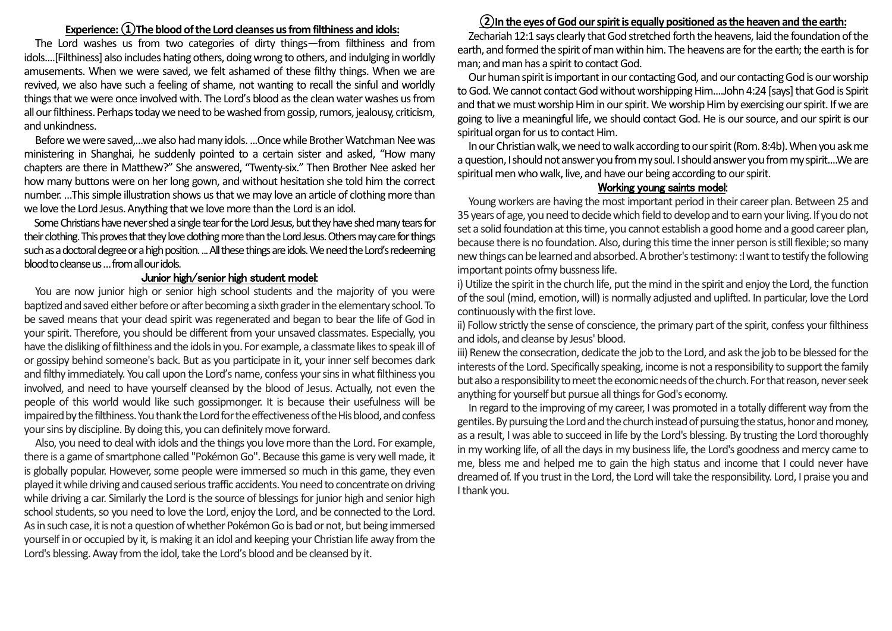### **Experience:①The blood of the Lord cleanses us from filthiness and idols:**

The Lord washes us from two categories of dirty things—from filthiness and from idols....[Filthiness] also includes hating others, doing wrong to others, and indulging in worldly amusements. When we were saved, we felt ashamed of these filthy things. When we are revived, we also have such a feeling of shame, not wanting to recall the sinful and worldly things that we were once involved with. The Lord's blood as the clean water washes us from all our filthiness. Perhaps today we need to be washed from gossip, rumors, jealousy, criticism, and unkindness.

Before we were saved,...we also had many idols. ...Once while Brother Watchman Nee was ministering in Shanghai, he suddenly pointed to a certain sister and asked, "How many chapters are there in Matthew?" She answered, "Twenty-six." Then Brother Nee asked her how many buttons were on her long gown, and without hesitation she told him the correct number. …This simple illustration shows us that we may love an article of clothing more than we love the Lord Jesus. Anything that we love more than the Lord is an idol.

Some Christians have never shed a single tear for the Lord Jesus, but they have shed many tears for their clothing. This proves that they love clothing more than the Lord Jesus. Others may care for things such as a doctoral degree or a high position. ... All these things are idols. We need the Lord's redeeming blood to cleanse us … from all our idols.

#### Junior high/senior high student model:

You are now junior high or senior high school students and the majority of you were baptized and saved either before or after becoming a sixth grader in the elementary school. To be saved means that your dead spirit was regenerated and began to bear the life of God in your spirit. Therefore, you should be different from your unsaved classmates. Especially, you have the disliking of filthiness and the idols in you. For example, a classmate likes to speak ill of or gossipy behind someone's back. But as you participate in it, your inner self becomes dark and filthy immediately. You call upon the Lord's name, confess your sins in what filthiness you involved, and need to have yourself cleansed by the blood of Jesus. Actually, not even the people of this world would like such gossipmonger. It is because their usefulness will be impaired by the filthiness. You thank the Lord for the effectiveness of the His blood, and confess your sins by discipline. By doing this, you can definitely move forward.

Also, you need to deal with idols and the things you love more than the Lord. For example, there is a game of smartphone called "Pokémon Go". Because this game is very well made, it is globally popular. However, some people were immersed so much in this game, they even played it while driving and caused serious traffic accidents. You need to concentrate on driving while driving a car. Similarly the Lord is the source of blessings for junior high and senior high school students, so you need to love the Lord, enjoy the Lord, and be connected to the Lord. As in such case, it is not a question of whether Pokémon Go is bad or not, but being immersed yourself in or occupied by it, is making it an idol and keeping your Christian life away from the Lord's blessing. Away from the idol, take the Lord's blood and be cleansed by it.

# **②In the eyes of God our spirit is equally positioned as the heaven and the earth:**

Zechariah 12:1 says clearly that God stretched forth the heavens, laid the foundation of the earth, and formed the spirit of man within him. The heavens are for the earth; the earth is for man; and man has a spirit to contact God.

Our human spirit is important in our contacting God, and our contacting God is our worship to God. We cannot contact God without worshipping Him....John 4:24 [says] that God is Spirit and that we must worship Him in our spirit. Weworship Him by exercising our spirit. If we are going to live a meaningful life, we should contact God. He is our source, and our spirit is our spiritual organ for us to contact Him.

In our Christian walk, we need to walk according to our spirit (Rom. 8:4b). When you ask me a question, I should not answer you from my soul. I should answer you from my spirit....We are spiritual men who walk, live, and have our being according to our spirit.

## Working young saints model:

Young workers are having the most important period in their career plan. Between 25 and 35 years of age, you need to decide which field to develop and to earn your living. If you do not set a solid foundation at this time, you cannot establish a good home and a good career plan, because there is no foundation. Also, during this time the inner person is still flexible; so many new things can be learned and absorbed. A brother's testimony: :I want to testify the following important points ofmy bussness life.

i) Utilize the spirit in the church life, put the mind in the spirit and enjoy the Lord, the function of the soul (mind, emotion, will) is normally adjusted and uplifted. In particular, love the Lord continuously with the first love.

ii) Follow strictly the sense of conscience, the primary part of the spirit, confess your filthiness and idols, and cleanse by Jesus' blood.

iii) Renew the consecration, dedicate the job to the Lord, and ask the job to be blessed for the interests of the Lord. Specifically speaking, income is not a responsibility to support the family but also a responsibility to meet the economic needs of the church. For that reason, never seek anything for yourself but pursue all things for God's economy.

In regard to the improving of my career, I was promoted in a totally different way from the gentiles. By pursuing the Lord and the church instead of pursuing the status, honor and money, as a result, I was able to succeed in life by the Lord's blessing. By trusting the Lord thoroughly in my working life, of all the days in my business life, the Lord's goodness and mercy came to me, bless me and helped me to gain the high status and income that I could never have dreamed of. If you trust in the Lord, the Lord will take the responsibility. Lord, I praise you and I thank you.